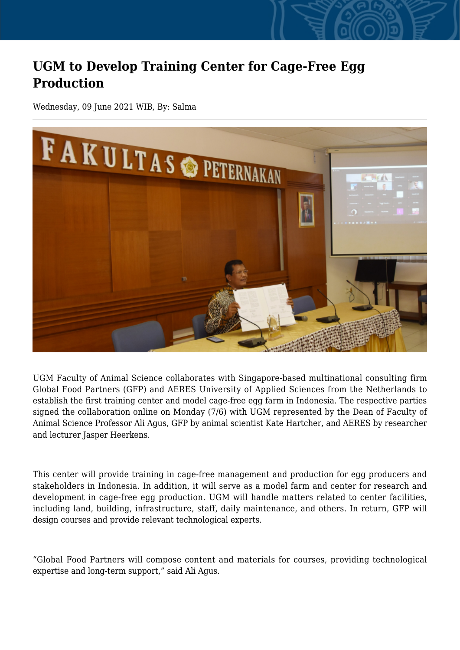## **UGM to Develop Training Center for Cage-Free Egg Production**

Wednesday, 09 June 2021 WIB, By: Salma



UGM Faculty of Animal Science collaborates with Singapore-based multinational consulting firm Global Food Partners (GFP) and AERES University of Applied Sciences from the Netherlands to establish the first training center and model cage-free egg farm in Indonesia. The respective parties signed the collaboration online on Monday (7/6) with UGM represented by the Dean of Faculty of Animal Science Professor Ali Agus, GFP by animal scientist Kate Hartcher, and AERES by researcher and lecturer Jasper Heerkens.

This center will provide training in cage-free management and production for egg producers and stakeholders in Indonesia. In addition, it will serve as a model farm and center for research and development in cage-free egg production. UGM will handle matters related to center facilities, including land, building, infrastructure, staff, daily maintenance, and others. In return, GFP will design courses and provide relevant technological experts.

"Global Food Partners will compose content and materials for courses, providing technological expertise and long-term support," said Ali Agus.